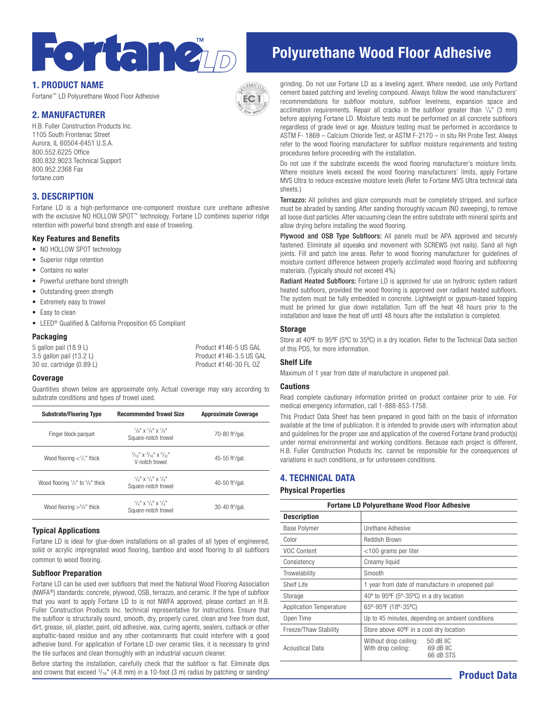

# 1. PRODUCT NAME

Fortane™ LD Polyurethane Wood Floor Adhesive

# 2. MANUFACTURER

H.B. Fuller Construction Products Inc. 1105 South Frontenac Street Aurora, IL 60504-6451 U.S.A. 800.552.6225 Office 800.832.9023 Technical Support 800.952.2368 Fax fortane.com

# 3. DESCRIPTION

Fortane LD is a high-performance one-component moisture cure urethane adhesive with the exclusive NO HOLLOW SPOT™ technology. Fortane LD combines superior ridge retention with powerful bond strength and ease of troweling.

#### Key Features and Benefits

- NO HOLLOW SPOT technology
- Superior ridge retention
- Contains no water
- Powerful urethane bond strength
- Outstanding green strength
- Extremely easy to trowel
- Easy to clean
- LEED® Qualified & California Proposition 65 Compliant

#### Packaging

| 5 gallon pail (18.9 L)         | Product #146-5 US GAL   |
|--------------------------------|-------------------------|
| 3.5 gallon pail (13.2 L)       | Product #146-3.5 US GAL |
| $30$ oz. cartridge $(0.89)$ L) | Product #146-30 FL 0Z   |

#### Coverage

Quantities shown below are approximate only. Actual coverage may vary according to substrate conditions and types of trowel used.

| <b>Substrate/Flooring Type</b>                         | <b>Recommended Trowel Size</b>                                                                             | <b>Approximate Coverage</b>   |
|--------------------------------------------------------|------------------------------------------------------------------------------------------------------------|-------------------------------|
| Finger block parquet                                   | $\frac{1}{8}$ $\frac{1}{8}$ $\frac{1}{8}$ $\frac{1}{8}$ $\frac{1}{8}$ $\frac{1}{8}$<br>Square-notch trowel | 70-80 ft <sup>2</sup> /gal.   |
| Wood flooring $\langle \cdot \rangle_2$ " thick        | $3/16$ " X $3/16$ " X $5/32$ "<br>V-notch trowel                                                           | 45-55 ft $^2$ /gal.           |
| Wood flooring $\frac{1}{2}$ " to $\frac{5}{8}$ " thick | $1/\lambda$ " x $1/\lambda$ " x $1/\lambda$ "<br>Square-notch trowel                                       | 40-50 ft $^{2}$ /gal.         |
| Wood flooring $>5/8$ " thick                           | $1/\lambda$ " x $1/\lambda$ " x $1/\lambda$ "<br>Square-notch trowel                                       | $30-40$ ft <sup>2</sup> /gal. |

#### Typical Applications

Fortane LD is ideal for glue-down installations on all grades of all types of engineered, solid or acrylic impregnated wood flooring, bamboo and wood flooring to all subfloors common to wood flooring.

#### Subfloor Preparation

Fortane LD can be used over subfloors that meet the National Wood Flooring Association (NWFA®) standards: concrete, plywood, OSB, terrazzo, and ceramic. If the type of subfloor that you want to apply Fortane LD to is not NWFA approved, please contact an H.B. Fuller Construction Products Inc. technical representative for instructions. Ensure that the subfloor is structurally sound, smooth, dry, properly cured, clean and free from dust, dirt, grease, oil, plaster, paint, old adhesive, wax, curing agents, sealers, cutback or other asphaltic-based residue and any other contaminants that could interfere with a good adhesive bond. For application of Fortane LD over ceramic tiles, it is necessary to grind the tile surfaces and clean thoroughly with an industrial vacuum cleaner.

Before starting the installation, carefully check that the subfloor is flat. Eliminate dips and crowns that exceed  $\frac{3}{16}$ " (4.8 mm) in a 10-foot (3 m) radius by patching or sanding/

# Polyurethane Wood Floor Adhesive

grinding. Do not use Fortane LD as a leveling agent. Where needed, use only Portland cement based patching and leveling compound. Always follow the wood manufacturers' recommendations for subfloor moisture, subfloor levelness, expansion space and acclimation requirements. Repair all cracks in the subfloor greater than  $\frac{1}{8}$ " (3 mm) before applying Fortane LD. Moisture tests must be performed on all concrete subfloors regardless of grade level or age. Moisture testing must be performed in accordance to ASTM F- 1869 – Calcium Chloride Test, or ASTM F-2170 – in situ RH Probe Test. Always refer to the wood flooring manufacturer for subfloor moisture requirements and testing procedures before proceeding with the installation.

Do not use if the substrate exceeds the wood flooring manufacturer's moisture limits. Where moisture levels exceed the wood flooring manufacturers' limits, apply Fortane MVS Ultra to reduce excessive moisture levels (Refer to Fortane MVS Ultra technical data sheets.)

**Terrazzo:** All polishes and glaze compounds must be completely stripped, and surface must be abraded by sanding. After sanding thoroughly vacuum (NO sweeping), to remove all loose dust particles. After vacuuming clean the entire substrate with mineral spirits and allow drying before installing the wood flooring.

Plywood and OSB Type Subfloors: All panels must be APA approved and securely fastened. Eliminate all squeaks and movement with SCREWS (not nails). Sand all high joints. Fill and patch low areas. Refer to wood flooring manufacturer for guidelines of moisture content difference between properly acclimated wood flooring and subflooring materials. (Typically should not exceed 4%)

Radiant Heated Subfloors: Fortane LD is approved for use on hydronic system radiant heated subfloors, provided the wood flooring is approved over radiant heated subfloors. The system must be fully embedded in concrete. Lightweight or gypsum-based topping must be primed for glue down installation. Turn off the heat 48 hours prior to the installation and leave the heat off until 48 hours after the installation is completed.

#### Storage

Store at 40°F to 95°F (5°C to 35°C) in a dry location. Refer to the Technical Data section of this PDS, for more information.

#### Shelf Life

Maximum of 1 year from date of manufacture in unopened pail.

#### **Cautions**

Read complete cautionary information printed on product container prior to use. For medical emergency information, call 1-888-853-1758.

This Product Data Sheet has been prepared in good faith on the basis of information available at the time of publication. It is intended to provide users with information about and guidelines for the proper use and application of the covered Fortane brand product(s) under normal environmental and working conditions. Because each project is different, H.B. Fuller Construction Products Inc. cannot be responsible for the consequences of variations in such conditions, or for unforeseen conditions.

## 4. TECHNICAL DATA

#### Physical Properties

| <b>Fortane LD Polyurethane Wood Floor Adhesive</b> |                                                                                    |  |
|----------------------------------------------------|------------------------------------------------------------------------------------|--|
| <b>Description</b>                                 |                                                                                    |  |
| Base Polymer                                       | Urethane Adhesive                                                                  |  |
| Color                                              | Reddish Brown                                                                      |  |
| VOC Content                                        | <100 grams per liter                                                               |  |
| Consistency                                        | Creamy liquid                                                                      |  |
| Trowelability                                      | Smooth                                                                             |  |
| Shelf Life                                         | 1 year from date of manufacture in unopened pail                                   |  |
| Storage                                            | 40° to 95°F (5°-35°C) in a dry location                                            |  |
| Application Temperature                            | 65°-95°F (18°-35°C)                                                                |  |
| Open Time                                          | Up to 45 minutes, depending on ambient conditions                                  |  |
| Freeze/Thaw Stability                              | Store above 40°F in a cool dry location                                            |  |
| Acoustical Data                                    | 50 dB IIC<br>Without drop ceiling:<br>With drop ceiling:<br>69 dB IIC<br>66 dB STS |  |

Product Data